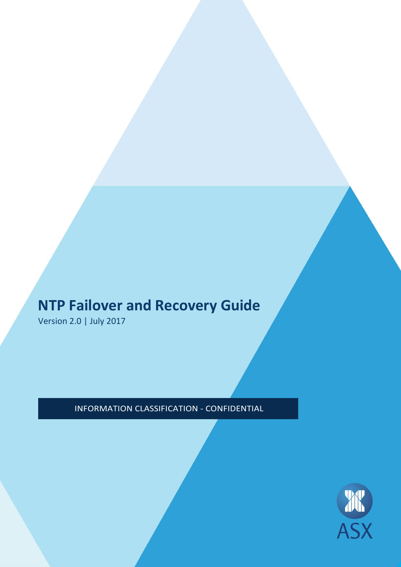# **NTP Failover and Recovery Guide**

Version 2.0 | July 2017

INFORMATION CLASSIFICATION - CONFIDENTIAL

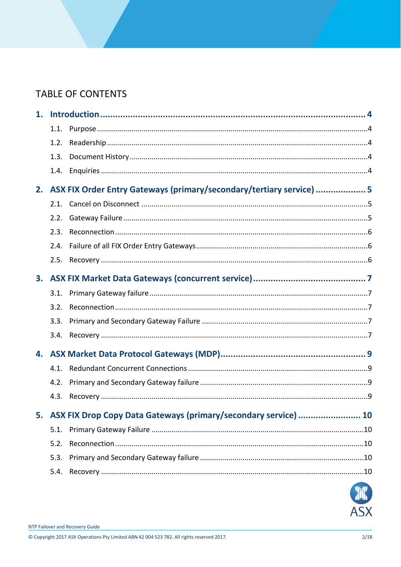# TABLE OF CONTENTS

| 1. |      |                                                                      |  |
|----|------|----------------------------------------------------------------------|--|
|    | 1.1. |                                                                      |  |
|    | 1.2. |                                                                      |  |
|    | 1.3. |                                                                      |  |
|    | 1.4. |                                                                      |  |
| 2. |      | ASX FIX Order Entry Gateways (primary/secondary/tertiary service)  5 |  |
|    | 2.1. |                                                                      |  |
|    | 2.2. |                                                                      |  |
|    | 2.3. |                                                                      |  |
|    | 2.4. |                                                                      |  |
|    | 2.5. |                                                                      |  |
| 3. |      |                                                                      |  |
|    | 3.1. |                                                                      |  |
|    | 3.2. |                                                                      |  |
|    | 3.3. |                                                                      |  |
|    | 3.4. |                                                                      |  |
| 4. |      |                                                                      |  |
|    | 4.1. |                                                                      |  |
|    | 4.2. |                                                                      |  |
|    | 4.3. |                                                                      |  |
| 5. |      | ASX FIX Drop Copy Data Gateways (primary/secondary service)  10      |  |
|    | 5.1. |                                                                      |  |
|    | 5.2. |                                                                      |  |
|    | 5.3. |                                                                      |  |
|    | 5.4. |                                                                      |  |
|    |      |                                                                      |  |



© Copyright 2017 ASX Operations Pty Limited ABN 42 004 523 782. All rights reserved 2017.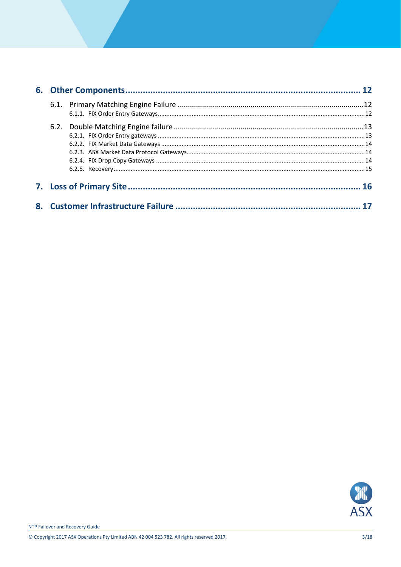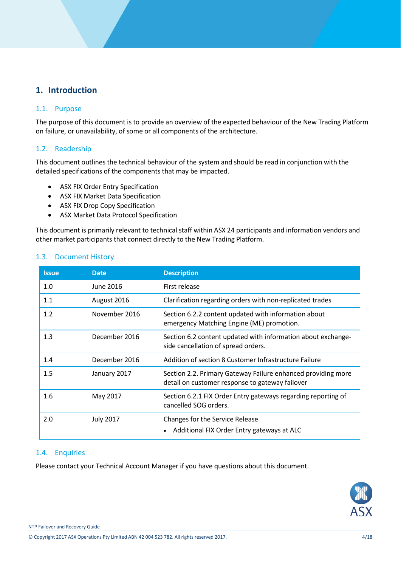# <span id="page-3-0"></span>**1. Introduction**

#### <span id="page-3-1"></span>1.1. Purpose

The purpose of this document is to provide an overview of the expected behaviour of the New Trading Platform on failure, or unavailability, of some or all components of the architecture.

#### <span id="page-3-2"></span>1.2. Readership

This document outlines the technical behaviour of the system and should be read in conjunction with the detailed specifications of the components that may be impacted.

- ASX FIX Order Entry Specification
- ASX FIX Market Data Specification
- ASX FIX Drop Copy Specification
- ASX Market Data Protocol Specification

This document is primarily relevant to technical staff within ASX 24 participants and information vendors and other market participants that connect directly to the New Trading Platform.

| <b>Issue</b> | <b>Date</b>      | <b>Description</b>                                                                                              |
|--------------|------------------|-----------------------------------------------------------------------------------------------------------------|
| 1.0          | June 2016        | First release                                                                                                   |
| 1.1          | August 2016      | Clarification regarding orders with non-replicated trades                                                       |
| 1.2          | November 2016    | Section 6.2.2 content updated with information about<br>emergency Matching Engine (ME) promotion.               |
| 1.3          | December 2016    | Section 6.2 content updated with information about exchange-<br>side cancellation of spread orders.             |
| 1.4          | December 2016    | Addition of section 8 Customer Infrastructure Failure                                                           |
| 1.5          | January 2017     | Section 2.2. Primary Gateway Failure enhanced providing more<br>detail on customer response to gateway failover |
| 1.6          | May 2017         | Section 6.2.1 FIX Order Entry gateways regarding reporting of<br>cancelled SOG orders.                          |
| 2.0          | <b>July 2017</b> | Changes for the Service Release<br>Additional FIX Order Entry gateways at ALC<br>$\bullet$                      |

#### <span id="page-3-3"></span>1.3. Document History

#### <span id="page-3-4"></span>1.4. Enquiries

Please contact your Technical Account Manager if you have questions about this document.



© Copyright 2017 ASX Operations Pty Limited ABN 42 004 523 782. All rights reserved 2017. 4/18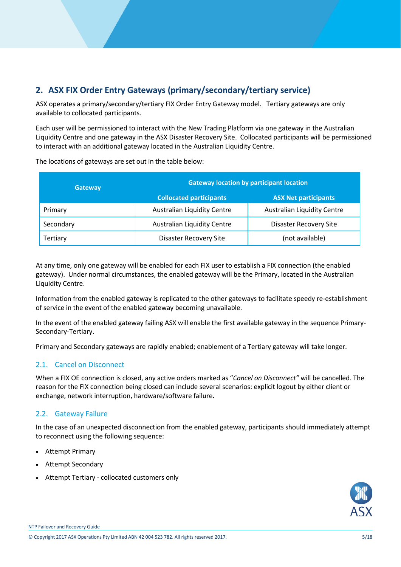# <span id="page-4-0"></span>**2. ASX FIX Order Entry Gateways (primary/secondary/tertiary service)**

ASX operates a primary/secondary/tertiary FIX Order Entry Gateway model. Tertiary gateways are only available to collocated participants.

Each user will be permissioned to interact with the New Trading Platform via one gateway in the Australian Liquidity Centre and one gateway in the ASX Disaster Recovery Site. Collocated participants will be permissioned to interact with an additional gateway located in the Australian Liquidity Centre.

| <b>Gateway</b> | <b>Gateway location by participant location</b> |                                    |  |
|----------------|-------------------------------------------------|------------------------------------|--|
|                | <b>Collocated participants</b>                  | <b>ASX Net participants</b>        |  |
| Primary        | <b>Australian Liquidity Centre</b>              | <b>Australian Liquidity Centre</b> |  |
| Secondary      | <b>Australian Liquidity Centre</b>              | <b>Disaster Recovery Site</b>      |  |
| Tertiary       | <b>Disaster Recovery Site</b>                   | (not available)                    |  |

The locations of gateways are set out in the table below:

At any time, only one gateway will be enabled for each FIX user to establish a FIX connection (the enabled gateway). Under normal circumstances, the enabled gateway will be the Primary, located in the Australian Liquidity Centre.

Information from the enabled gateway is replicated to the other gateways to facilitate speedy re-establishment of service in the event of the enabled gateway becoming unavailable.

In the event of the enabled gateway failing ASX will enable the first available gateway in the sequence Primary-Secondary-Tertiary.

Primary and Secondary gateways are rapidly enabled; enablement of a Tertiary gateway will take longer.

# <span id="page-4-1"></span>2.1. Cancel on Disconnect

When a FIX OE connection is closed, any active orders marked as "*Cancel on Disconnect"* will be cancelled. The reason for the FIX connection being closed can include several scenarios: explicit logout by either client or exchange, network interruption, hardware/software failure.

# <span id="page-4-2"></span>2.2. Gateway Failure

In the case of an unexpected disconnection from the enabled gateway, participants should immediately attempt to reconnect using the following sequence:

- Attempt Primary
- Attempt Secondary
- Attempt Tertiary collocated customers only



NTP Failover and Recovery Guide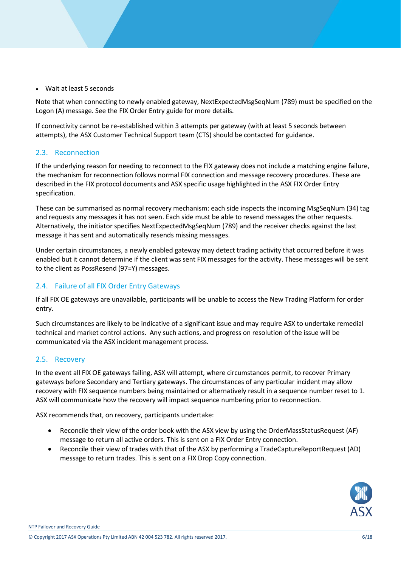Wait at least 5 seconds

Note that when connecting to newly enabled gateway, NextExpectedMsgSeqNum (789) must be specified on the Logon (A) message. See the FIX Order Entry guide for more details.

If connectivity cannot be re-established within 3 attempts per gateway (with at least 5 seconds between attempts), the ASX Customer Technical Support team (CTS) should be contacted for guidance.

#### <span id="page-5-0"></span>2.3. Reconnection

If the underlying reason for needing to reconnect to the FIX gateway does not include a matching engine failure, the mechanism for reconnection follows normal FIX connection and message recovery procedures. These are described in the FIX protocol documents and ASX specific usage highlighted in the ASX FIX Order Entry specification.

These can be summarised as normal recovery mechanism: each side inspects the incoming MsgSeqNum (34) tag and requests any messages it has not seen. Each side must be able to resend messages the other requests. Alternatively, the initiator specifies NextExpectedMsgSeqNum (789) and the receiver checks against the last message it has sent and automatically resends missing messages.

Under certain circumstances, a newly enabled gateway may detect trading activity that occurred before it was enabled but it cannot determine if the client was sent FIX messages for the activity. These messages will be sent to the client as PossResend (97=Y) messages.

# <span id="page-5-1"></span>2.4. Failure of all FIX Order Entry Gateways

If all FIX OE gateways are unavailable, participants will be unable to access the New Trading Platform for order entry.

Such circumstances are likely to be indicative of a significant issue and may require ASX to undertake remedial technical and market control actions. Any such actions, and progress on resolution of the issue will be communicated via the ASX incident management process.

# <span id="page-5-2"></span>2.5. Recovery

In the event all FIX OE gateways failing, ASX will attempt, where circumstances permit, to recover Primary gateways before Secondary and Tertiary gateways. The circumstances of any particular incident may allow recovery with FIX sequence numbers being maintained or alternatively result in a sequence number reset to 1. ASX will communicate how the recovery will impact sequence numbering prior to reconnection.

ASX recommends that, on recovery, participants undertake:

- Reconcile their view of the order book with the ASX view by using the OrderMassStatusRequest (AF) message to return all active orders. This is sent on a FIX Order Entry connection.
- Reconcile their view of trades with that of the ASX by performing a TradeCaptureReportRequest (AD) message to return trades. This is sent on a FIX Drop Copy connection.



NTP Failover and Recovery Guide

© Copyright 2017 ASX Operations Pty Limited ABN 42 004 523 782. All rights reserved 2017. 6/18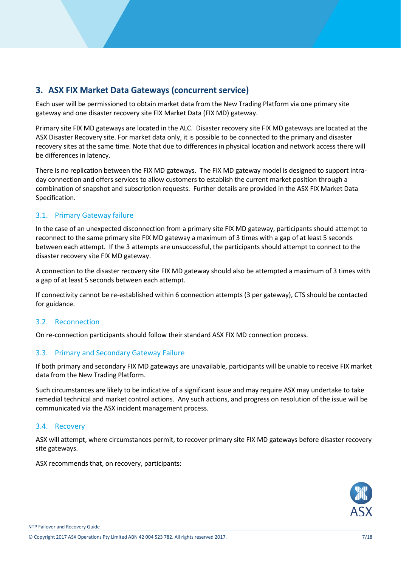# <span id="page-6-0"></span>**3. ASX FIX Market Data Gateways (concurrent service)**

Each user will be permissioned to obtain market data from the New Trading Platform via one primary site gateway and one disaster recovery site FIX Market Data (FIX MD) gateway.

Primary site FIX MD gateways are located in the ALC. Disaster recovery site FIX MD gateways are located at the ASX Disaster Recovery site. For market data only, it is possible to be connected to the primary and disaster recovery sites at the same time. Note that due to differences in physical location and network access there will be differences in latency.

There is no replication between the FIX MD gateways. The FIX MD gateway model is designed to support intraday connection and offers services to allow customers to establish the current market position through a combination of snapshot and subscription requests. Further details are provided in the ASX FIX Market Data Specification.

#### <span id="page-6-1"></span>3.1. Primary Gateway failure

In the case of an unexpected disconnection from a primary site FIX MD gateway, participants should attempt to reconnect to the same primary site FIX MD gateway a maximum of 3 times with a gap of at least 5 seconds between each attempt. If the 3 attempts are unsuccessful, the participants should attempt to connect to the disaster recovery site FIX MD gateway.

A connection to the disaster recovery site FIX MD gateway should also be attempted a maximum of 3 times with a gap of at least 5 seconds between each attempt.

If connectivity cannot be re-established within 6 connection attempts (3 per gateway), CTS should be contacted for guidance.

#### <span id="page-6-2"></span>3.2. Reconnection

On re-connection participants should follow their standard ASX FIX MD connection process.

#### <span id="page-6-3"></span>3.3. Primary and Secondary Gateway Failure

If both primary and secondary FIX MD gateways are unavailable, participants will be unable to receive FIX market data from the New Trading Platform.

Such circumstances are likely to be indicative of a significant issue and may require ASX may undertake to take remedial technical and market control actions. Any such actions, and progress on resolution of the issue will be communicated via the ASX incident management process.

#### <span id="page-6-4"></span>3.4. Recovery

ASX will attempt, where circumstances permit, to recover primary site FIX MD gateways before disaster recovery site gateways.

ASX recommends that, on recovery, participants:

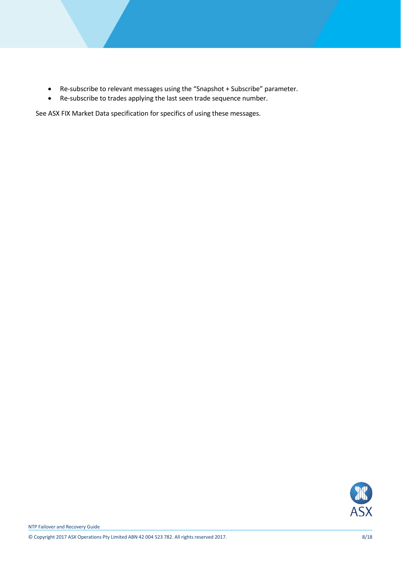- Re-subscribe to relevant messages using the "Snapshot + Subscribe" parameter.
- Re-subscribe to trades applying the last seen trade sequence number.

See ASX FIX Market Data specification for specifics of using these messages.

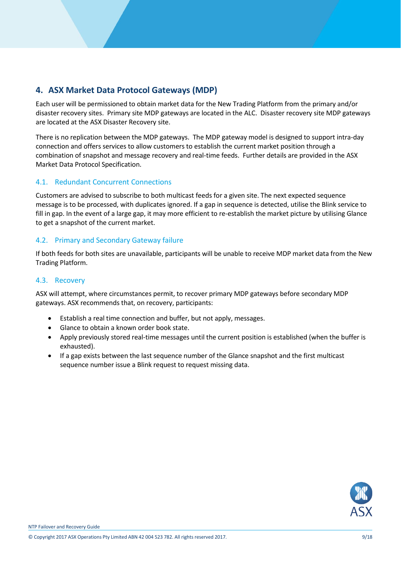# <span id="page-8-0"></span>**4. ASX Market Data Protocol Gateways (MDP)**

Each user will be permissioned to obtain market data for the New Trading Platform from the primary and/or disaster recovery sites. Primary site MDP gateways are located in the ALC. Disaster recovery site MDP gateways are located at the ASX Disaster Recovery site.

There is no replication between the MDP gateways. The MDP gateway model is designed to support intra-day connection and offers services to allow customers to establish the current market position through a combination of snapshot and message recovery and real-time feeds. Further details are provided in the ASX Market Data Protocol Specification.

# <span id="page-8-1"></span>4.1. Redundant Concurrent Connections

Customers are advised to subscribe to both multicast feeds for a given site. The next expected sequence message is to be processed, with duplicates ignored. If a gap in sequence is detected, utilise the Blink service to fill in gap. In the event of a large gap, it may more efficient to re-establish the market picture by utilising Glance to get a snapshot of the current market.

# <span id="page-8-2"></span>4.2. Primary and Secondary Gateway failure

If both feeds for both sites are unavailable, participants will be unable to receive MDP market data from the New Trading Platform.

### <span id="page-8-3"></span>4.3. Recovery

ASX will attempt, where circumstances permit, to recover primary MDP gateways before secondary MDP gateways. ASX recommends that, on recovery, participants:

- Establish a real time connection and buffer, but not apply, messages.
- Glance to obtain a known order book state.
- Apply previously stored real-time messages until the current position is established (when the buffer is exhausted).
- If a gap exists between the last sequence number of the Glance snapshot and the first multicast sequence number issue a Blink request to request missing data.

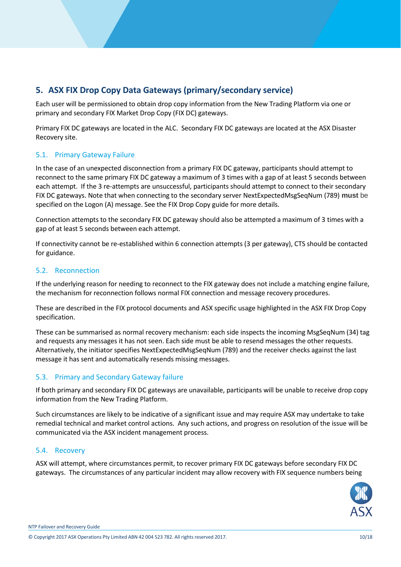# <span id="page-9-0"></span>**5. ASX FIX Drop Copy Data Gateways (primary/secondary service)**

Each user will be permissioned to obtain drop copy information from the New Trading Platform via one or primary and secondary FIX Market Drop Copy (FIX DC) gateways.

Primary FIX DC gateways are located in the ALC. Secondary FIX DC gateways are located at the ASX Disaster Recovery site.

# <span id="page-9-1"></span>5.1. Primary Gateway Failure

In the case of an unexpected disconnection from a primary FIX DC gateway, participants should attempt to reconnect to the same primary FIX DC gateway a maximum of 3 times with a gap of at least 5 seconds between each attempt. If the 3 re-attempts are unsuccessful, participants should attempt to connect to their secondary FIX DC gateways. Note that when connecting to the secondary server NextExpectedMsgSeqNum (789) **must** be specified on the Logon (A) message. See the FIX Drop Copy guide for more details.

Connection attempts to the secondary FIX DC gateway should also be attempted a maximum of 3 times with a gap of at least 5 seconds between each attempt.

If connectivity cannot be re-established within 6 connection attempts (3 per gateway), CTS should be contacted for guidance.

# <span id="page-9-2"></span>5.2. Reconnection

If the underlying reason for needing to reconnect to the FIX gateway does not include a matching engine failure, the mechanism for reconnection follows normal FIX connection and message recovery procedures.

These are described in the FIX protocol documents and ASX specific usage highlighted in the ASX FIX Drop Copy specification.

These can be summarised as normal recovery mechanism: each side inspects the incoming MsgSeqNum (34) tag and requests any messages it has not seen. Each side must be able to resend messages the other requests. Alternatively, the initiator specifies NextExpectedMsgSeqNum (789) and the receiver checks against the last message it has sent and automatically resends missing messages.

# <span id="page-9-3"></span>5.3. Primary and Secondary Gateway failure

If both primary and secondary FIX DC gateways are unavailable, participants will be unable to receive drop copy information from the New Trading Platform.

Such circumstances are likely to be indicative of a significant issue and may require ASX may undertake to take remedial technical and market control actions. Any such actions, and progress on resolution of the issue will be communicated via the ASX incident management process.

#### <span id="page-9-4"></span>5.4. Recovery

ASX will attempt, where circumstances permit, to recover primary FIX DC gateways before secondary FIX DC gateways. The circumstances of any particular incident may allow recovery with FIX sequence numbers being



NTP Failover and Recovery Guide

© Copyright 2017 ASX Operations Pty Limited ABN 42 004 523 782. All rights reserved 2017. 10/18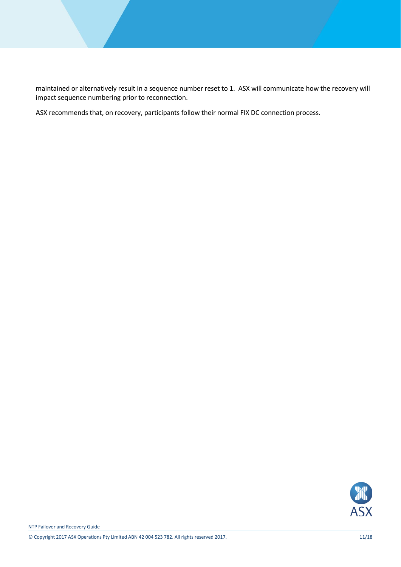maintained or alternatively result in a sequence number reset to 1. ASX will communicate how the recovery will impact sequence numbering prior to reconnection.

ASX recommends that, on recovery, participants follow their normal FIX DC connection process.

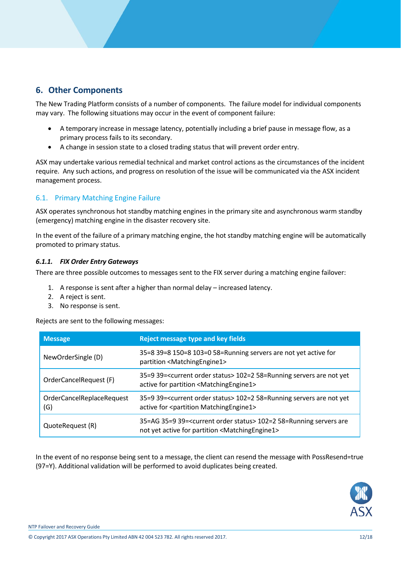# <span id="page-11-0"></span>**6. Other Components**

The New Trading Platform consists of a number of components. The failure model for individual components may vary. The following situations may occur in the event of component failure:

- A temporary increase in message latency, potentially including a brief pause in message flow, as a primary process fails to its secondary.
- A change in session state to a closed trading status that will prevent order entry.

ASX may undertake various remedial technical and market control actions as the circumstances of the incident require. Any such actions, and progress on resolution of the issue will be communicated via the ASX incident management process.

#### <span id="page-11-1"></span>6.1. Primary Matching Engine Failure

ASX operates synchronous hot standby matching engines in the primary site and asynchronous warm standby (emergency) matching engine in the disaster recovery site.

In the event of the failure of a primary matching engine, the hot standby matching engine will be automatically promoted to primary status.

#### <span id="page-11-2"></span>*6.1.1. FIX Order Entry Gateways*

There are three possible outcomes to messages sent to the FIX server during a matching engine failover:

- 1. A response is sent after a higher than normal delay increased latency.
- 2. A reject is sent.
- 3. No response is sent.

Rejects are sent to the following messages:

| <b>Message</b>                   | <b>Reject message type and key fields</b>                                                                                                               |
|----------------------------------|---------------------------------------------------------------------------------------------------------------------------------------------------------|
| NewOrderSingle (D)               | 35=8 39=8 150=8 103=0 58=Running servers are not yet active for<br>partition <matchingengine1></matchingengine1>                                        |
| OrderCancelRequest (F)           | 35=9 39= <current order="" status=""> 102=2 58=Running servers are not yet<br/>active for partition <matchingengine1></matchingengine1></current>       |
| OrderCancelReplaceRequest<br>(G) | 35=9 39= <current order="" status=""> 102=2 58=Running servers are not yet<br/>active for <partition matchingengine1=""></partition></current>          |
| QuoteRequest (R)                 | 35=AG 35=9 39= <current order="" status=""> 102=2 58=Running servers are<br/>not yet active for partition <matchingengine1></matchingengine1></current> |

In the event of no response being sent to a message, the client can resend the message with PossResend=true (97=Y). Additional validation will be performed to avoid duplicates being created.

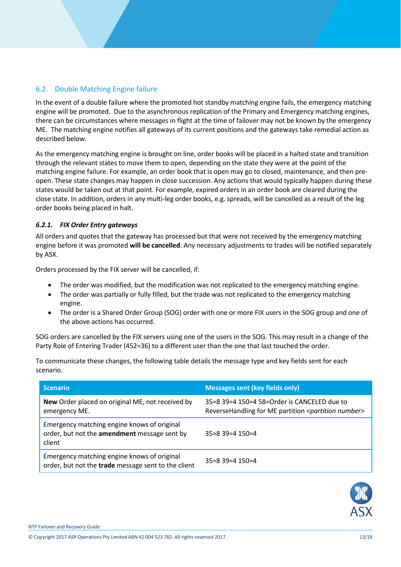# <span id="page-12-0"></span>6.2. Double Matching Engine failure

In the event of a double failure where the promoted hot standby matching engine fails, the emergency matching engine will be promoted. Due to the asynchronous replication of the Primary and Emergency matching engines, there can be circumstances where messages in flight at the time of failover may not be known by the emergency ME. The matching engine notifies all gateways of its current positions and the gateways take remedial action as described below.

As the emergency matching engine is brought on line, order books will be placed in a halted state and transition through the relevant states to move them to open, depending on the state they were at the point of the matching engine failure. For example, an order book that is open may go to closed, maintenance, and then preopen. These state changes may happen in close succession. Any actions that would typically happen during these states would be taken out at that point. For example, expired orders in an order book are cleared during the close state. In addition, orders in any multi-leg order books, e.g. spreads, will be cancelled as a result of the leg order books being placed in halt.

#### <span id="page-12-1"></span>*6.2.1. FIX Order Entry gateways*

All orders and quotes that the gateway has processed but that were not received by the emergency matching engine before it was promoted **will be cancelled**. Any necessary adjustments to trades will be notified separately by ASX.

Orders processed by the FIX server will be cancelled, if:

- The order was modified, but the modification was not replicated to the emergency matching engine.
- The order was partially or fully filled, but the trade was not replicated to the emergency matching engine.
- The order is a Shared Order Group (SOG) order with one or more FIX users in the SOG group and one of the above actions has occurred.

SOG orders are cancelled by the FIX servers using one of the users in the SOG. This may result in a change of the Party Role of Entering Trader (452=36) to a different user than the one that last touched the order.

To communicate these changes, the following table details the message type and key fields sent for each scenario.

| <b>Scenario</b>                                                                                       | <b>Messages sent (key fields only)</b>                                                                              |
|-------------------------------------------------------------------------------------------------------|---------------------------------------------------------------------------------------------------------------------|
| New Order placed on original ME, not received by<br>emergency ME.                                     | $35=8$ 39=4 150=4 58=Order is CANCELED due to<br>ReverseHandling for ME partition <partition number=""></partition> |
| Emergency matching engine knows of original<br>order, but not the amendment message sent by<br>client | $35=8$ 39=4 150=4                                                                                                   |
| Emergency matching engine knows of original<br>order, but not the trade message sent to the client    | $35=8$ 39=4 150=4                                                                                                   |



© Copyright 2017 ASX Operations Pty Limited ABN 42 004 523 782. All rights reserved 2017. 13/18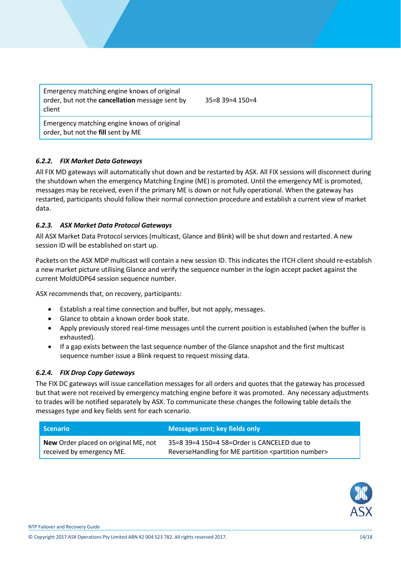Emergency matching engine knows of original order, but not the **cancellation** message sent by client

35=8 39=4 150=4

Emergency matching engine knows of original order, but not the **fill** sent by ME

# <span id="page-13-0"></span>*6.2.2. FIX Market Data Gateways*

All FIX MD gateways will automatically shut down and be restarted by ASX. All FIX sessions will disconnect during the shutdown when the emergency Matching Engine (ME) is promoted. Until the emergency ME is promoted, messages may be received, even if the primary ME is down or not fully operational. When the gateway has restarted, participants should follow their normal connection procedure and establish a current view of market data.

#### <span id="page-13-1"></span>*6.2.3. ASX Market Data Protocol Gateways*

All ASX Market Data Protocol services (multicast, Glance and Blink) will be shut down and restarted. A new session ID will be established on start up.

Packets on the ASX MDP multicast will contain a new session ID. This indicates the ITCH client should re-establish a new market picture utilising Glance and verify the sequence number in the login accept packet against the current MoldUDP64 session sequence number.

ASX recommends that, on recovery, participants:

- Establish a real time connection and buffer, but not apply, messages.
- Glance to obtain a known order book state.
- Apply previously stored real-time messages until the current position is established (when the buffer is exhausted).
- If a gap exists between the last sequence number of the Glance snapshot and the first multicast sequence number issue a Blink request to request missing data.

#### <span id="page-13-2"></span>*6.2.4. FIX Drop Copy Gateways*

The FIX DC gateways will issue cancellation messages for all orders and quotes that the gateway has processed but that were not received by emergency matching engine before it was promoted. Any necessary adjustments to trades will be notified separately by ASX. To communicate these changes the following table details the messages type and key fields sent for each scenario.

| l Scenario                                  | Messages sent; key fields only                                     |
|---------------------------------------------|--------------------------------------------------------------------|
| <b>New Order placed on original ME, not</b> | 35=8 39=4 150=4 58=Order is CANCELED due to                        |
| received by emergency ME.                   | ReverseHandling for ME partition <partition number=""></partition> |

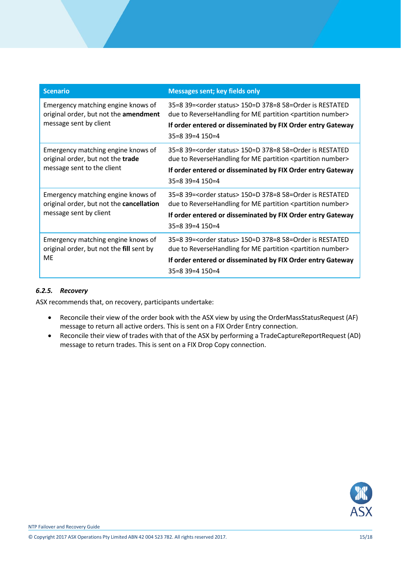| <b>Scenario</b>                                                                                          | <b>Messages sent; key fields only</b>                                                                                                                                                                                                              |
|----------------------------------------------------------------------------------------------------------|----------------------------------------------------------------------------------------------------------------------------------------------------------------------------------------------------------------------------------------------------|
| Emergency matching engine knows of<br>original order, but not the amendment<br>message sent by client    | 35=8 39= <order status=""> 150=D 378=8 58=Order is RESTATED<br/>due to ReverseHandling for ME partition <partition number=""><br/>If order entered or disseminated by FIX Order entry Gateway<br/><math>35=8</math> 39=4 150=4</partition></order> |
| Emergency matching engine knows of<br>original order, but not the trade<br>message sent to the client    | 35=8 39= <order status=""> 150=D 378=8 58=Order is RESTATED<br/>due to ReverseHandling for ME partition <partition number=""><br/>If order entered or disseminated by FIX Order entry Gateway<br/><math>35=8</math> 39=4 150=4</partition></order> |
| Emergency matching engine knows of<br>original order, but not the cancellation<br>message sent by client | 35=8 39= <order status=""> 150=D 378=8 58=Order is RESTATED<br/>due to ReverseHandling for ME partition <partition number=""><br/>If order entered or disseminated by FIX Order entry Gateway<br/><math>35=8</math> 39=4 150=4</partition></order> |
| Emergency matching engine knows of<br>original order, but not the fill sent by<br><b>ME</b>              | 35=8 39= <order status=""> 150=D 378=8 58=Order is RESTATED<br/>due to ReverseHandling for ME partition <partition number=""><br/>If order entered or disseminated by FIX Order entry Gateway<br/><math>35=8</math> 39=4 150=4</partition></order> |

#### <span id="page-14-0"></span>*6.2.5. Recovery*

ASX recommends that, on recovery, participants undertake:

- Reconcile their view of the order book with the ASX view by using the OrderMassStatusRequest (AF) message to return all active orders. This is sent on a FIX Order Entry connection.
- Reconcile their view of trades with that of the ASX by performing a TradeCaptureReportRequest (AD) message to return trades. This is sent on a FIX Drop Copy connection.

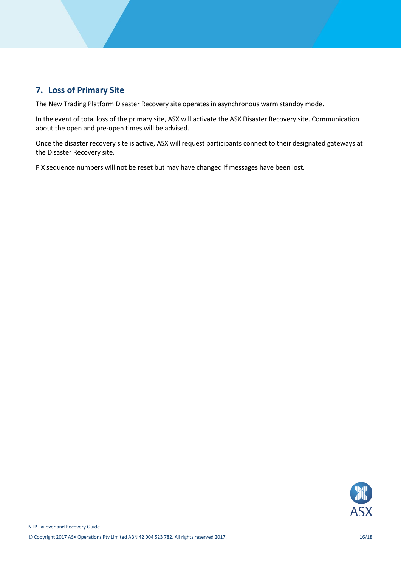# <span id="page-15-0"></span>**7. Loss of Primary Site**

The New Trading Platform Disaster Recovery site operates in asynchronous warm standby mode.

In the event of total loss of the primary site, ASX will activate the ASX Disaster Recovery site. Communication about the open and pre-open times will be advised.

Once the disaster recovery site is active, ASX will request participants connect to their designated gateways at the Disaster Recovery site.

FIX sequence numbers will not be reset but may have changed if messages have been lost.

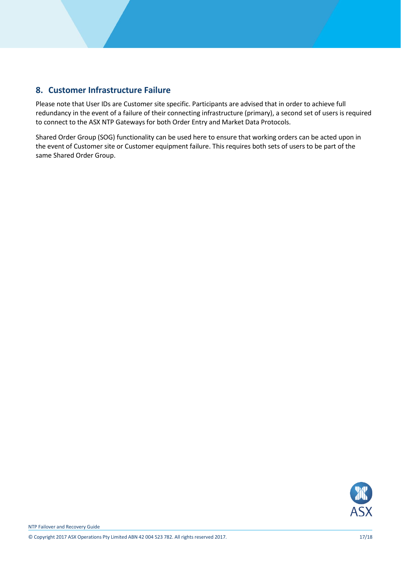# <span id="page-16-0"></span>**8. Customer Infrastructure Failure**

Please note that User IDs are Customer site specific. Participants are advised that in order to achieve full redundancy in the event of a failure of their connecting infrastructure (primary), a second set of users is required to connect to the ASX NTP Gateways for both Order Entry and Market Data Protocols.

Shared Order Group (SOG) functionality can be used here to ensure that working orders can be acted upon in the event of Customer site or Customer equipment failure. This requires both sets of users to be part of the same Shared Order Group.